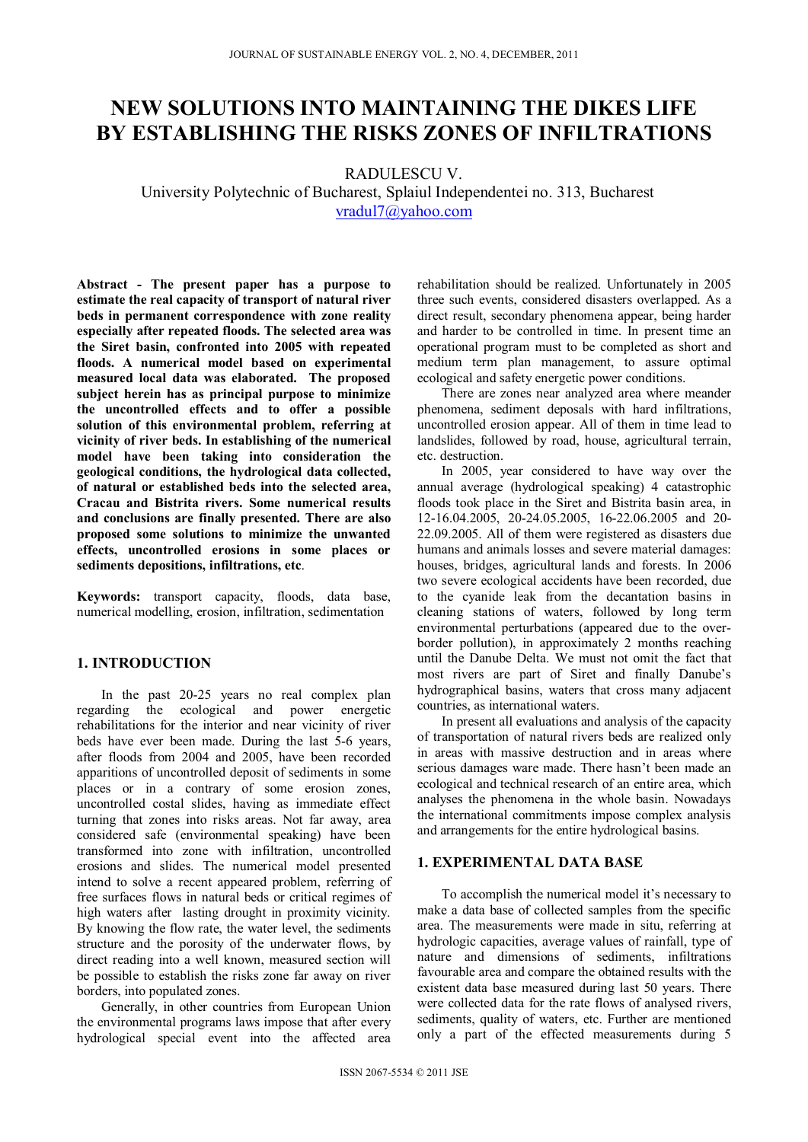# **NEW SOLUTIONS INTO MAINTAINING THE DIKES LIFE BY ESTABLISHING THE RISKS ZONES OF INFILTRATIONS**

RADULESCU V.

University Polytechnic of Bucharest, Splaiul Independentei no. 313, Bucharest vradul7@yahoo.com

**Abstract - The present paper has a purpose to estimate the real capacity of transport of natural river beds in permanent correspondence with zone reality especially after repeated floods. The selected area was the Siret basin, confronted into 2005 with repeated floods. A numerical model based on experimental measured local data was elaborated. The proposed subject herein has as principal purpose to minimize the uncontrolled effects and to offer a possible solution of this environmental problem, referring at vicinity of river beds. In establishing of the numerical model have been taking into consideration the geological conditions, the hydrological data collected, of natural or established beds into the selected area, Cracau and Bistrita rivers. Some numerical results and conclusions are finally presented. There are also proposed some solutions to minimize the unwanted effects, uncontrolled erosions in some places or sediments depositions, infiltrations, etc**.

**Keywords:** transport capacity, floods, data base, numerical modelling, erosion, infiltration, sedimentation

# **1. INTRODUCTION**

In the past 20-25 years no real complex plan regarding the ecological and power energetic rehabilitations for the interior and near vicinity of river beds have ever been made. During the last 5-6 years, after floods from 2004 and 2005, have been recorded apparitions of uncontrolled deposit of sediments in some places or in a contrary of some erosion zones, uncontrolled costal slides, having as immediate effect turning that zones into risks areas. Not far away, area considered safe (environmental speaking) have been transformed into zone with infiltration, uncontrolled erosions and slides. The numerical model presented intend to solve a recent appeared problem, referring of free surfaces flows in natural beds or critical regimes of high waters after lasting drought in proximity vicinity. By knowing the flow rate, the water level, the sediments structure and the porosity of the underwater flows, by direct reading into a well known, measured section will be possible to establish the risks zone far away on river borders, into populated zones.

Generally, in other countries from European Union the environmental programs laws impose that after every hydrological special event into the affected area rehabilitation should be realized. Unfortunately in 2005 three such events, considered disasters overlapped. As a direct result, secondary phenomena appear, being harder and harder to be controlled in time. In present time an operational program must to be completed as short and medium term plan management, to assure optimal ecological and safety energetic power conditions.

There are zones near analyzed area where meander phenomena, sediment deposals with hard infiltrations, uncontrolled erosion appear. All of them in time lead to landslides, followed by road, house, agricultural terrain, etc. destruction.

In 2005, year considered to have way over the annual average (hydrological speaking) 4 catastrophic floods took place in the Siret and Bistrita basin area, in 12-16.04.2005, 20-24.05.2005, 16-22.06.2005 and 20- 22.09.2005. All of them were registered as disasters due humans and animals losses and severe material damages: houses, bridges, agricultural lands and forests. In 2006 two severe ecological accidents have been recorded, due to the cyanide leak from the decantation basins in cleaning stations of waters, followed by long term environmental perturbations (appeared due to the overborder pollution), in approximately 2 months reaching until the Danube Delta. We must not omit the fact that most rivers are part of Siret and finally Danube's hydrographical basins, waters that cross many adjacent countries, as international waters.

In present all evaluations and analysis of the capacity of transportation of natural rivers beds are realized only in areas with massive destruction and in areas where serious damages ware made. There hasn't been made an ecological and technical research of an entire area, which analyses the phenomena in the whole basin. Nowadays the international commitments impose complex analysis and arrangements for the entire hydrological basins.

## **1. EXPERIMENTAL DATA BASE**

To accomplish the numerical model it's necessary to make a data base of collected samples from the specific area. The measurements were made in situ, referring at hydrologic capacities, average values of rainfall, type of nature and dimensions of sediments, infiltrations favourable area and compare the obtained results with the existent data base measured during last 50 years. There were collected data for the rate flows of analysed rivers, sediments, quality of waters, etc. Further are mentioned only a part of the effected measurements during 5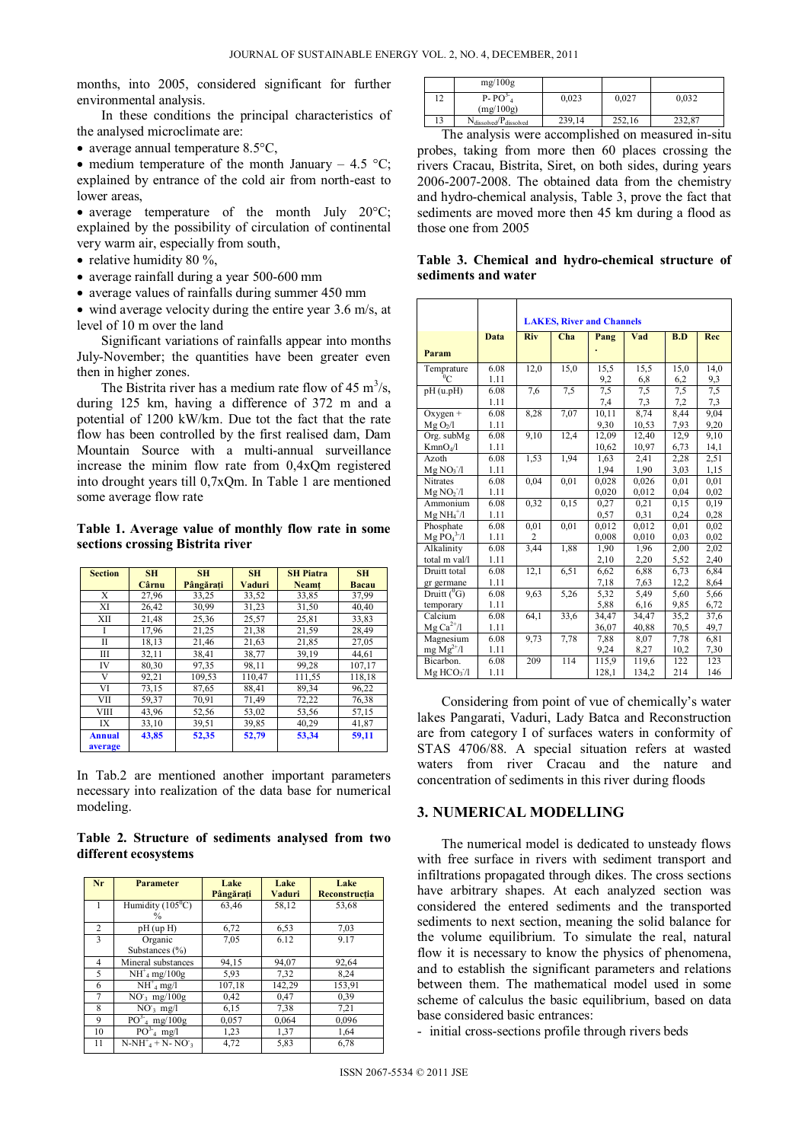months, into 2005, considered significant for further environmental analysis.

In these conditions the principal characteristics of the analysed microclimate are:

• average annual temperature  $8.5^{\circ}$ C,

• medium temperature of the month January – 4.5 °C; explained by entrance of the cold air from north-east to lower areas,

• average temperature of the month July  $20^{\circ}$ C; explained by the possibility of circulation of continental very warm air, especially from south,

- relative humidity 80  $\%$ ,
- average rainfall during a year 500-600 mm
- average values of rainfalls during summer 450 mm

 wind average velocity during the entire year 3.6 m/s, at level of 10 m over the land

Significant variations of rainfalls appear into months July-November; the quantities have been greater even then in higher zones.

The Bistrita river has a medium rate flow of  $45 \text{ m}^3/\text{s}$ , during 125 km, having a difference of 372 m and a potential of 1200 kW/km. Due tot the fact that the rate flow has been controlled by the first realised dam, Dam Mountain Source with a multi-annual surveillance increase the minim flow rate from 0,4xQm registered into drought years till 0,7xQm. In Table 1 are mentioned some average flow rate

**Table 1. Average value of monthly flow rate in some sections crossing Bistrita river**

| <b>Section</b> | SH    | SH        | SH     | <b>SH Piatra</b> | <b>SH</b>    |
|----------------|-------|-----------|--------|------------------|--------------|
|                | Cârnu | Pângărati | Vaduri | <b>Neamt</b>     | <b>Bacau</b> |
| X              | 27,96 | 33,25     | 33,52  | 33,85            | 37,99        |
| XI             | 26,42 | 30,99     | 31,23  | 31,50            | 40,40        |
| XII            | 21,48 | 25,36     | 25,57  | 25,81            | 33,83        |
| L              | 17.96 | 21,25     | 21,38  | 21,59            | 28,49        |
| П              | 18,13 | 21,46     | 21,63  | 21,85            | 27,05        |
| Ш              | 32,11 | 38,41     | 38,77  | 39,19            | 44,61        |
| IV             | 80,30 | 97,35     | 98,11  | 99,28            | 107,17       |
| V              | 92,21 | 109,53    | 110,47 | 111,55           | 118,18       |
| VI             | 73,15 | 87,65     | 88,41  | 89,34            | 96,22        |
| VІІ            | 59,37 | 70,91     | 71,49  | 72,22            | 76,38        |
| <b>VIII</b>    | 43,96 | 52,56     | 53,02  | 53,56            | 57,15        |
| IX             | 33,10 | 39,51     | 39,85  | 40.29            | 41,87        |
| <b>Annual</b>  | 43,85 | 52,35     | 52,79  | 53,34            | 59.11        |
| average        |       |           |        |                  |              |

In Tab.2 are mentioned another important parameters necessary into realization of the data base for numerical modeling.

**Table 2. Structure of sediments analysed from two different ecosystems** 

| Nr             | <b>Parameter</b>                                             | Lake<br>Pângărati | Lake<br><b>Vaduri</b> | Lake<br>Reconstructia |
|----------------|--------------------------------------------------------------|-------------------|-----------------------|-----------------------|
| 1              | Humidity $(105^{\circ}C)$<br>$\frac{0}{0}$                   | 63,46             | 58,12                 | 53,68                 |
| $\overline{c}$ | $pH$ (up $H$ )                                               | 6,72              | 6,53                  | 7.03                  |
| 3              | Organic<br>Substances $(\% )$                                | 7,05              | 6.12                  | 9.17                  |
| 4              | Mineral substances                                           | 94,15             | 94,07                 | 92,64                 |
| 5              | $NH^+_{4}$ mg/100g                                           | 5,93              | 7,32                  | 8,24                  |
| 6              | $NH+4$ mg/l                                                  | 107,18            | 142,29                | 153,91                |
| 7              | $NO3$ mg/100g                                                | 0,42              | 0.47                  | 0.39                  |
| 8              | $NO3$ mg/l                                                   | 6,15              | 7,38                  | 7.21                  |
| 9              | $PO^{3-}$ <sub>4</sub> mg/100g                               | 0,057             | 0,064                 | 0,096                 |
| 10             | $\overline{PO}^{3}$ -4 mg/l                                  | 1,23              | 1,37                  | 1,64                  |
| 11             | $\overline{\text{N-NH}}^+$ <sub>4</sub> + N- NO <sub>3</sub> | 4,72              | 5,83                  | 6.78                  |

|          | mg/100g                       |        |        |        |
|----------|-------------------------------|--------|--------|--------|
| າາ<br>14 | $P-PO3-4$<br>(mg/100g)        | 0,023  | 0,027  | 0,032  |
|          | $N_{dissolved}/P_{dissolved}$ | 239,14 | 252,16 | 232,87 |

The analysis were accomplished on measured in-situ probes, taking from more then 60 places crossing the rivers Cracau, Bistrita, Siret, on both sides, during years 2006-2007-2008. The obtained data from the chemistry and hydro-chemical analysis, Table 3, prove the fact that sediments are moved more then 45 km during a flood as those one from 2005

**Table 3. Chemical and hydro-chemical structure of sediments and water** 

|                        |             | <b>LAKES, River and Channels</b>               |      |       |       |      |      |  |  |
|------------------------|-------------|------------------------------------------------|------|-------|-------|------|------|--|--|
|                        | <b>Data</b> | B.D<br>Rec<br><b>Riv</b><br>Cha<br>Vad<br>Pang |      |       |       |      |      |  |  |
| Param                  |             |                                                |      |       |       |      |      |  |  |
| Temprature             | 6.08        | 12,0                                           | 15,0 | 15,5  | 15,5  | 15,0 | 14,0 |  |  |
| $\rm ^{0}C$            | 1.11        |                                                |      | 9,2   | 6,8   | 6,2  | 9,3  |  |  |
| pH (u.pH)              | 6.08        | 7,6                                            | 7,5  | 7,5   | 7,5   | 7,5  | 7,5  |  |  |
|                        | 1.11        |                                                |      | 7,4   | 7,3   | 7,2  | 7,3  |  |  |
| $Oxygen +$             | 6.08        | 8,28                                           | 7,07 | 10,11 | 8,74  | 8,44 | 9,04 |  |  |
| Mg O <sub>2</sub> /l   | 1.11        |                                                |      | 9,30  | 10,53 | 7,93 | 9,20 |  |  |
| Org. subMg             | 6.08        | 9,10                                           | 12,4 | 12,09 | 12,40 | 12,9 | 9,10 |  |  |
| KmnO <sub>4</sub> /I   | 1.11        |                                                |      | 10,62 | 10,97 | 6,73 | 14,1 |  |  |
| Azoth                  | 6.08        | 1,53                                           | 1,94 | 1,63  | 2,41  | 2,28 | 2,51 |  |  |
| Mg NO <sub>3</sub> /l  | 1.11        |                                                |      | 1,94  | 1,90  | 3,03 | 1,15 |  |  |
| <b>Nitrates</b>        | 6.08        | 0,04                                           | 0,01 | 0,028 | 0,026 | 0,01 | 0,01 |  |  |
| Mg NO <sub>2</sub> /l  | 1.11        |                                                |      | 0,020 | 0,012 | 0,04 | 0,02 |  |  |
| Ammonium               | 6.08        | 0,32                                           | 0,15 | 0,27  | 0,21  | 0,15 | 0,19 |  |  |
| $Mg NH4+/l$            | 1.11        |                                                |      | 0,57  | 0,31  | 0,24 | 0,28 |  |  |
| Phosphate              | 6.08        | 0,01                                           | 0,01 | 0,012 | 0,012 | 0,01 | 0,02 |  |  |
| $Mg PO43-/l$           | 1.11        | $\overline{c}$                                 |      | 0,008 | 0,010 | 0,03 | 0,02 |  |  |
| Alkalinity             | 6.08        | 3,44                                           | 1,88 | 1,90  | 1,96  | 2,00 | 2,02 |  |  |
| total m val/l          | 1.11        |                                                |      | 2,10  | 2,20  | 5,52 | 2,40 |  |  |
| Druitt total           | 6.08        | 12,1                                           | 6,51 | 6,62  | 6,88  | 6,73 | 6,84 |  |  |
| gr germane             | 1.11        |                                                |      | 7,18  | 7,63  | 12,2 | 8,64 |  |  |
| Druitt $(^0G)$         | 6.08        | 9,63                                           | 5,26 | 5,32  | 5,49  | 5,60 | 5,66 |  |  |
| temporary              | 1.11        |                                                |      | 5,88  | 6,16  | 9,85 | 6,72 |  |  |
| Calcium                | 6.08        | 64,1                                           | 33,6 | 34,47 | 34,47 | 35,2 | 37,6 |  |  |
| $Mg Ca2+/l$            | 1.11        |                                                |      | 36,07 | 40,88 | 70,5 | 49,7 |  |  |
| Magnesium              | 6.08        | 9,73                                           | 7,78 | 7,88  | 8,07  | 7,78 | 6,81 |  |  |
| mg $Mg^{2+}/I$         | 1.11        |                                                |      | 9,24  | 8,27  | 10,2 | 7,30 |  |  |
| Bicarbon.              | 6.08        | 209                                            | 114  | 115,9 | 119,6 | 122  | 123  |  |  |
| Mg HCO <sub>3</sub> /l | 1.11        |                                                |      | 128,1 | 134,2 | 214  | 146  |  |  |

Considering from point of vue of chemically's water lakes Pangarati, Vaduri, Lady Batca and Reconstruction are from category I of surfaces waters in conformity of STAS 4706/88. A special situation refers at wasted waters from river Cracau and the nature and concentration of sediments in this river during floods

## **3. NUMERICAL MODELLING**

The numerical model is dedicated to unsteady flows with free surface in rivers with sediment transport and infiltrations propagated through dikes. The cross sections have arbitrary shapes. At each analyzed section was considered the entered sediments and the transported sediments to next section, meaning the solid balance for the volume equilibrium. To simulate the real, natural flow it is necessary to know the physics of phenomena, and to establish the significant parameters and relations between them. The mathematical model used in some scheme of calculus the basic equilibrium, based on data base considered basic entrances:

- initial cross-sections profile through rivers beds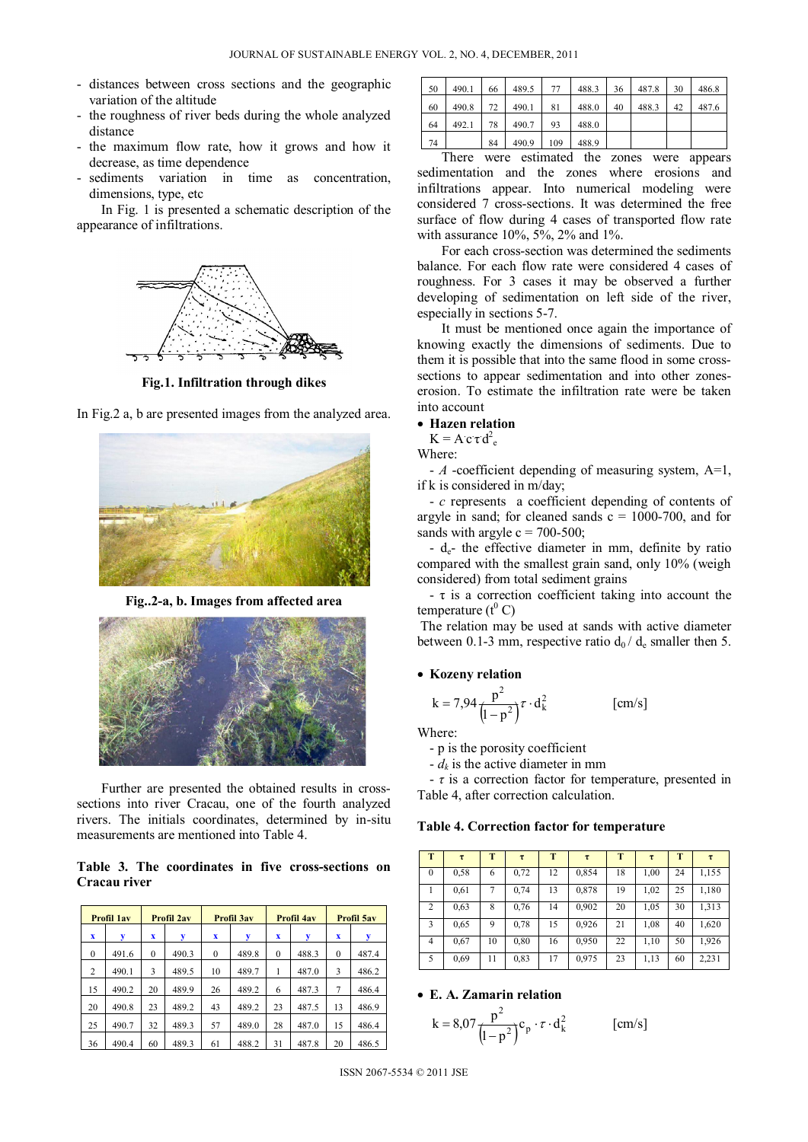- distances between cross sections and the geographic variation of the altitude
- the roughness of river beds during the whole analyzed distance
- the maximum flow rate, how it grows and how it decrease, as time dependence
- sediments variation in time as concentration, dimensions, type, etc

In Fig. 1 is presented a schematic description of the appearance of infiltrations.



**Fig.1. Infiltration through dikes** 

In Fig.2 a, b are presented images from the analyzed area.



**Fig..2-a, b. Images from affected area** 



Further are presented the obtained results in crosssections into river Cracau, one of the fourth analyzed rivers. The initials coordinates, determined by in-situ measurements are mentioned into Table 4.

## **Table 3. The coordinates in five cross-sections on Cracau river**

|                | Profil 1av |          | <b>Profil 2av</b> |              | <b>Profil 3av</b> | <b>Profil 4av</b> |       | <b>Profil 5av</b> |       |
|----------------|------------|----------|-------------------|--------------|-------------------|-------------------|-------|-------------------|-------|
| x              | v          | X        | v                 | X            | v                 | x                 |       | x                 | v     |
| $\mathbf{0}$   | 491.6      | $\theta$ | 490.3             | $\mathbf{0}$ | 489.8             | $\mathbf{0}$      | 488.3 | $\theta$          | 487.4 |
| $\overline{c}$ | 490.1      | 3        | 489.5             | 10           | 489.7             | 1                 | 487.0 | 3                 | 486.2 |
| 15             | 490.2      | 20       | 489.9             | 26           | 489.2             | 6                 | 487.3 | 7                 | 486.4 |
| 20             | 490.8      | 23       | 489.2             | 43           | 489.2             | 23                | 487.5 | 13                | 486.9 |
| 25             | 490.7      | 32       | 489.3             | 57           | 489.0             | 28                | 487.0 | 15                | 486.4 |
| 36             | 490.4      | 60       | 489.3             | 61           | 488.2             | 31                | 487.8 | 20                | 486.5 |

| 50 | 490.1 | 66 | 489.5 | 77  | 488.3 | 36 | 487.8 | 30 | 486.8 |
|----|-------|----|-------|-----|-------|----|-------|----|-------|
| 60 | 490.8 | 72 | 490.1 | 81  | 488.0 | 40 | 488.3 | 42 | 487.6 |
| 64 | 492.1 | 78 | 490.7 | 93  | 488.0 |    |       |    |       |
| 74 |       | 84 | 490.9 | 109 | 488.9 |    |       |    |       |

There were estimated the zones were appears sedimentation and the zones where erosions and infiltrations appear. Into numerical modeling were considered 7 cross-sections. It was determined the free surface of flow during 4 cases of transported flow rate with assurance 10%, 5%, 2% and 1%.

For each cross-section was determined the sediments balance. For each flow rate were considered 4 cases of roughness. For 3 cases it may be observed a further developing of sedimentation on left side of the river, especially in sections 5-7.

It must be mentioned once again the importance of knowing exactly the dimensions of sediments. Due to them it is possible that into the same flood in some crosssections to appear sedimentation and into other zoneserosion. To estimate the infiltration rate were be taken into account

#### **Hazen relation**

 $K = A c \tau d^2_e$ 

Where:

- *A* -coefficient depending of measuring system, A=1, if k is considered in m/day;

- *c* represents a coefficient depending of contents of argyle in sand; for cleaned sands  $c = 1000-700$ , and for sands with argyle  $c = 700-500$ ;

- de- the effective diameter in mm, definite by ratio compared with the smallest grain sand, only 10% (weigh considered) from total sediment grains

- τ is a correction coefficient taking into account the temperature  $(t^0 C)$ 

 The relation may be used at sands with active diameter between 0.1-3 mm, respective ratio  $d_0 / d_e$  smaller then 5.

## **Kozeny relation**

$$
k = 7.94 \frac{p^2}{(1-p^2)} \tau \cdot d_k^2
$$
 [cm/s]

Where:

- p is the porosity coefficient

 $-d_k$  is the active diameter in mm

- *τ* is a correction factor for temperature, presented in Table 4, after correction calculation.

**Table 4. Correction factor for temperature** 

| T | τ    | т  | $\tau$ | т  | τ     | T  | τ    | T  | $\tau$ |
|---|------|----|--------|----|-------|----|------|----|--------|
| 0 | 0,58 | 6  | 0.72   | 12 | 0,854 | 18 | 1,00 | 24 | 1,155  |
|   | 0,61 |    | 0,74   | 13 | 0,878 | 19 | 1,02 | 25 | 1,180  |
| 2 | 0.63 | 8  | 0.76   | 14 | 0,902 | 20 | 1,05 | 30 | 1,313  |
| 3 | 0,65 | 9  | 0,78   | 15 | 0,926 | 21 | 1,08 | 40 | 1,620  |
| 4 | 0.67 | 10 | 0.80   | 16 | 0,950 | 22 | 1,10 | 50 | 1.926  |
| 5 | 0,69 | 11 | 0,83   | 17 | 0.975 | 23 | 1,13 | 60 | 2.231  |

#### **E. A. Zamarin relation**

$$
k = 8.07 \frac{p^2}{(1-p^2)} c_p \cdot \tau \cdot d_k^2
$$
 [cm/s]

ISSN 2067-5534 © 2011 JSE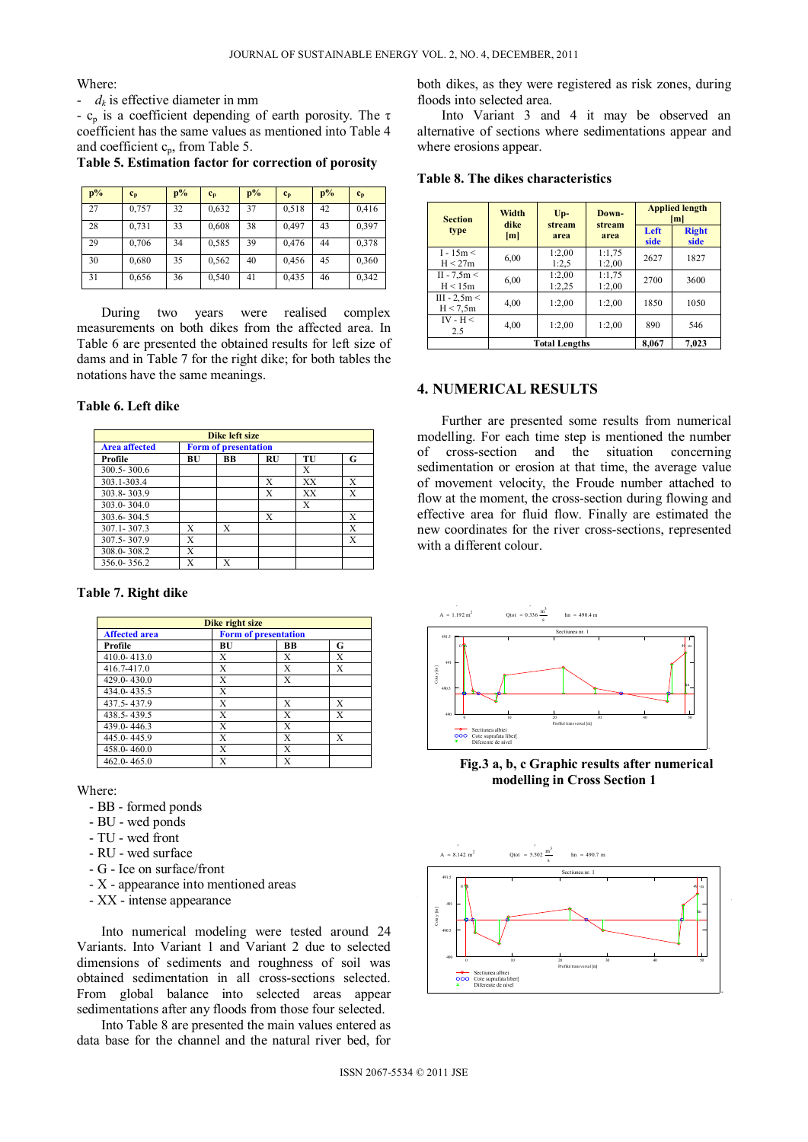Where:

 $-d_k$  is effective diameter in mm

 $-c_p$  is a coefficient depending of earth porosity. The τ coefficient has the same values as mentioned into Table 4 and coefficient  $c_p$ , from Table 5.

| $p\%$ | $c_p$ | $p\%$ | $c_p$ | $p\%$ | $c_p$ | $p\%$ | $c_p$ |
|-------|-------|-------|-------|-------|-------|-------|-------|
| 27    | 0,757 | 32    | 0,632 | 37    | 0,518 | 42    | 0,416 |
| 28    | 0,731 | 33    | 0,608 | 38    | 0,497 | 43    | 0,397 |
| 29    | 0,706 | 34    | 0,585 | 39    | 0,476 | 44    | 0,378 |
| 30    | 0,680 | 35    | 0,562 | 40    | 0,456 | 45    | 0,360 |
| 31    | 0,656 | 36    | 0,540 | 41    | 0,435 | 46    | 0,342 |

**Table 5. Estimation factor for correction of porosity** 

During two years were realised complex measurements on both dikes from the affected area. In Table 6 are presented the obtained results for left size of dams and in Table 7 for the right dike; for both tables the notations have the same meanings.

#### **Table 6. Left dike**

|                      | Dike left size              |    |    |    |   |  |  |  |  |
|----------------------|-----------------------------|----|----|----|---|--|--|--|--|
| <b>Area affected</b> | <b>Form of presentation</b> |    |    |    |   |  |  |  |  |
| Profile              | BU                          | ВB | RU | TU | G |  |  |  |  |
| 300.5-300.6          |                             |    |    | X  |   |  |  |  |  |
| 303.1-303.4          |                             |    | X  | XX | X |  |  |  |  |
| 303.8-303.9          |                             |    | Х  | XX | Х |  |  |  |  |
| 303.0-304.0          |                             |    |    | X  |   |  |  |  |  |
| 303.6-304.5          |                             |    | Х  |    | Х |  |  |  |  |
| $307.1 - 307.3$      | X                           | X  |    |    | Х |  |  |  |  |
| 307.5-307.9          | X                           |    |    |    | Х |  |  |  |  |
| 308.0-308.2          | X                           |    |    |    |   |  |  |  |  |
| 356.0-356.2          |                             |    |    |    |   |  |  |  |  |

#### **Table 7. Right dike**

|                      | Dike right size             |           |   |  |  |  |  |  |
|----------------------|-----------------------------|-----------|---|--|--|--|--|--|
| <b>Affected area</b> | <b>Form of presentation</b> |           |   |  |  |  |  |  |
| Profile              | BU                          | <b>BB</b> | G |  |  |  |  |  |
| 410.0-413.0          | Х                           | Х         | Х |  |  |  |  |  |
| 416.7-417.0          | X                           | X         | X |  |  |  |  |  |
| 429.0-430.0          | Х                           | X         |   |  |  |  |  |  |
| 434.0-435.5          | X                           |           |   |  |  |  |  |  |
| 437.5-437.9          | Х                           | Х         | Х |  |  |  |  |  |
| 438.5-439.5          | Х                           | Х         | Х |  |  |  |  |  |
| 439.0-446.3          | Х                           | Х         |   |  |  |  |  |  |
| 445.0-445.9          | Х                           | Х         | Х |  |  |  |  |  |
| 458.0-460.0          | X                           | Х         |   |  |  |  |  |  |
| $462$ 0 - $465.0$    |                             | Х         |   |  |  |  |  |  |

Where:

- BB formed ponds
- BU wed ponds
- TU wed front
- RU wed surface
- G Ice on surface/front
- X appearance into mentioned areas
- XX intense appearance

Into numerical modeling were tested around 24 Variants. Into Variant 1 and Variant 2 due to selected dimensions of sediments and roughness of soil was obtained sedimentation in all cross-sections selected. From global balance into selected areas appear sedimentations after any floods from those four selected.

Into Table 8 are presented the main values entered as data base for the channel and the natural river bed, for

both dikes, as they were registered as risk zones, during floods into selected area.

Into Variant 3 and 4 it may be observed an alternative of sections where sedimentations appear and where erosions appear.

| <b>Section</b>             | Width<br>dike | $Up-$<br>stream      | Down-<br>stream  |              | <b>Applied length</b><br>[m] |  |
|----------------------------|---------------|----------------------|------------------|--------------|------------------------------|--|
| type                       | [m]           | area                 | area             | Left<br>side | <b>Right</b><br>side         |  |
| $I - 15m <$<br>H < 27m     | 6,00          | 1:2,00<br>1:2.5      | 1:1,75<br>1:2,00 | 2627         | 1827                         |  |
| II - $7.5m <$<br>H < 15m   | 6,00          | 1:2,00<br>1:2,25     | 1:1,75<br>1:2,00 | 2700         | 3600                         |  |
| III - $2,5m <$<br>H < 7.5m | 4,00          | 1:2,00               | 1:2,00           | 1850         | 1050                         |  |
| $IV - H <$<br>2.5          | 4,00          | 1:2,00               | 1:2,00           | 890          | 546                          |  |
|                            |               | <b>Total Lengths</b> |                  | 8,067        | 7,023                        |  |

#### **Table 8. The dikes characteristics**

## **4. NUMERICAL RESULTS**

Further are presented some results from numerical modelling. For each time step is mentioned the number of cross-section and the situation concerning sedimentation or erosion at that time, the average value of movement velocity, the Froude number attached to flow at the moment, the cross-section during flowing and effective area for fluid flow. Finally are estimated the new coordinates for the river cross-sections, represented with a different colour.



**Fig.3 a, b, c Graphic results after numerical modelling in Cross Section 1** 

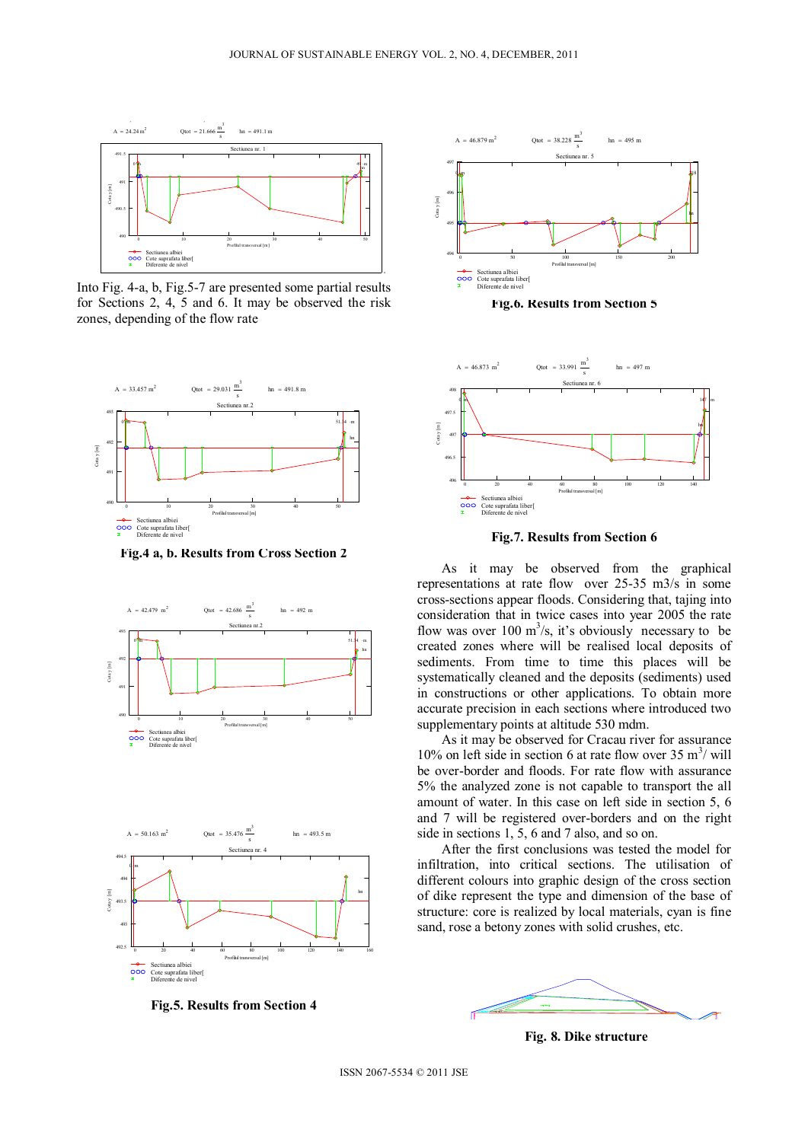

Into Fig. 4-a, b, Fig.5-7 are presented some partial results for Sections 2, 4, 5 and 6. It may be observed the risk zones, depending of the flow rate



**Fig.4 a, b. Results from Cross Section 2** 





**Fig.5. Results from Section 4** 



**Fig.6. Results from Section 5** 



**Fig.7. Results from Section 6** 

As it may be observed from the graphical representations at rate flow over 25-35 m3/s in some cross-sections appear floods. Considering that, tajing into consideration that in twice cases into year 2005 the rate flow was over 100  $\text{m}^3/\text{s}$ , it's obviously necessary to be created zones where will be realised local deposits of sediments. From time to time this places will be systematically cleaned and the deposits (sediments) used in constructions or other applications. To obtain more accurate precision in each sections where introduced two supplementary points at altitude 530 mdm.

As it may be observed for Cracau river for assurance 10% on left side in section 6 at rate flow over  $35 \text{ m}^3/\text{ will}$ be over-border and floods. For rate flow with assurance 5% the analyzed zone is not capable to transport the all amount of water. In this case on left side in section 5, 6 and 7 will be registered over-borders and on the right side in sections 1, 5, 6 and 7 also, and so on.

After the first conclusions was tested the model for infiltration, into critical sections. The utilisation of different colours into graphic design of the cross section of dike represent the type and dimension of the base of structure: core is realized by local materials, cyan is fine sand, rose a betony zones with solid crushes, etc.



**Fig. 8. Dike structure**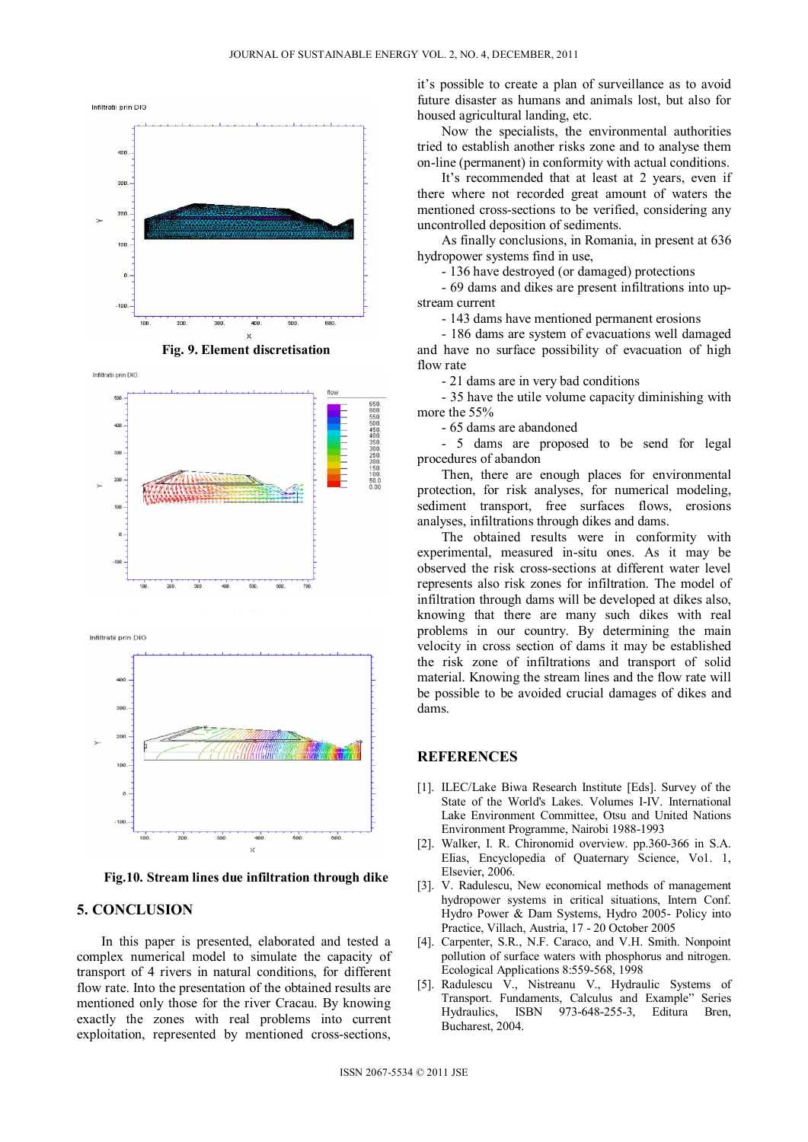



**Fig.10. Stream lines due infiltration through dike** 

#### **5. CONCLUSION**

In this paper is presented, elaborated and tested a complex numerical model to simulate the capacity of transport of 4 rivers in natural conditions, for different flow rate. Into the presentation of the obtained results are mentioned only those for the river Cracau. By knowing exactly the zones with real problems into current exploitation, represented by mentioned cross-sections,

it's possible to create a plan of surveillance as to avoid future disaster as humans and animals lost, but also for housed agricultural landing, etc.

Now the specialists, the environmental authorities tried to establish another risks zone and to analyse them on-line (permanent) in conformity with actual conditions.

It's recommended that at least at 2 years, even if there where not recorded great amount of waters the mentioned cross-sections to be verified, considering any uncontrolled deposition of sediments.

As finally conclusions, in Romania, in present at 636 hydropower systems find in use,

- 136 have destroyed (or damaged) protections

- 69 dams and dikes are present infiltrations into upstream current

- 143 dams have mentioned permanent erosions

- 186 dams are system of evacuations well damaged and have no surface possibility of evacuation of high flow rate

- 21 dams are in very bad conditions

- 35 have the utile volume capacity diminishing with more the 55%

- 65 dams are abandoned

- 5 dams are proposed to be send for legal procedures of abandon

Then, there are enough places for environmental protection, for risk analyses, for numerical modeling, sediment transport, free surfaces flows, erosions analyses, infiltrations through dikes and dams.

The obtained results were in conformity with experimental, measured in-situ ones. As it may be observed the risk cross-sections at different water level represents also risk zones for infiltration. The model of infiltration through dams will be developed at dikes also, knowing that there are many such dikes with real problems in our country. By determining the main velocity in cross section of dams it may be established the risk zone of infiltrations and transport of solid material. Knowing the stream lines and the flow rate will be possible to be avoided crucial damages of dikes and dams.

#### **REFERENCES**

- [1]. ILEC/Lake Biwa Research Institute [Eds]. Survey of the State of the World's Lakes. Volumes I-IV. International Lake Environment Committee, Otsu and United Nations Environment Programme, Nairobi 1988-1993
- [2]. Walker, I. R. Chironomid overview. pp.360-366 in S.A. EIias, Encyclopedia of Quaternary Science, Vo1. 1, Elsevier, 2006.
- [3]. V. Radulescu, New economical methods of management hydropower systems in critical situations, Intern Conf. Hydro Power & Dam Systems, Hydro 2005- Policy into Practice, Villach, Austria, 17 - 20 October 2005
- [4]. Carpenter, S.R., N.F. Caraco, and V.H. Smith. Nonpoint pollution of surface waters with phosphorus and nitrogen. Ecological Applications 8:559-568, 1998
- [5]. Radulescu V., Nistreanu V., Hydraulic Systems of Transport. Fundaments, Calculus and Example" Series Hydraulics, ISBN 973-648-255-3, Editura Bren, Bucharest, 2004.